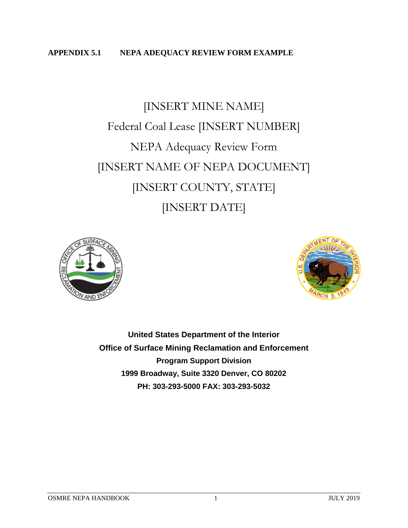#### **APPENDIX 5.1 NEPA ADEQUACY REVIEW FORM EXAMPLE**

# [INSERT MINE NAME] Federal Coal Lease [INSERT NUMBER] NEPA Adequacy Review Form [INSERT NAME OF NEPA DOCUMENT] [INSERT COUNTY, STATE] [INSERT DATE]





**United States Department of the Interior Office of Surface Mining Reclamation and Enforcement Program Support Division 1999 Broadway, Suite 3320 Denver, CO 80202 PH: 303-293-5000 FAX: 303-293-5032**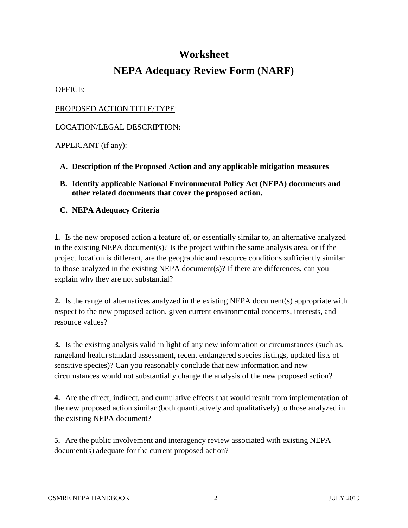### **Worksheet**

## **NEPA Adequacy Review Form (NARF)**

OFFICE:

#### PROPOSED ACTION TITLE/TYPE:

#### LOCATION/LEGAL DESCRIPTION:

#### APPLICANT (if any):

- **A. Description of the Proposed Action and any applicable mitigation measures**
- **B. Identify applicable National Environmental Policy Act (NEPA) documents and other related documents that cover the proposed action.**

#### **C. NEPA Adequacy Criteria**

**1.** Is the new proposed action a feature of, or essentially similar to, an alternative analyzed in the existing NEPA document(s)? Is the project within the same analysis area, or if the project location is different, are the geographic and resource conditions sufficiently similar to those analyzed in the existing NEPA document(s)? If there are differences, can you explain why they are not substantial?

**2.** Is the range of alternatives analyzed in the existing NEPA document(s) appropriate with respect to the new proposed action, given current environmental concerns, interests, and resource values?

**3.** Is the existing analysis valid in light of any new information or circumstances (such as, rangeland health standard assessment, recent endangered species listings, updated lists of sensitive species)? Can you reasonably conclude that new information and new circumstances would not substantially change the analysis of the new proposed action?

**4.** Are the direct, indirect, and cumulative effects that would result from implementation of the new proposed action similar (both quantitatively and qualitatively) to those analyzed in the existing NEPA document?

**5.** Are the public involvement and interagency review associated with existing NEPA document(s) adequate for the current proposed action?